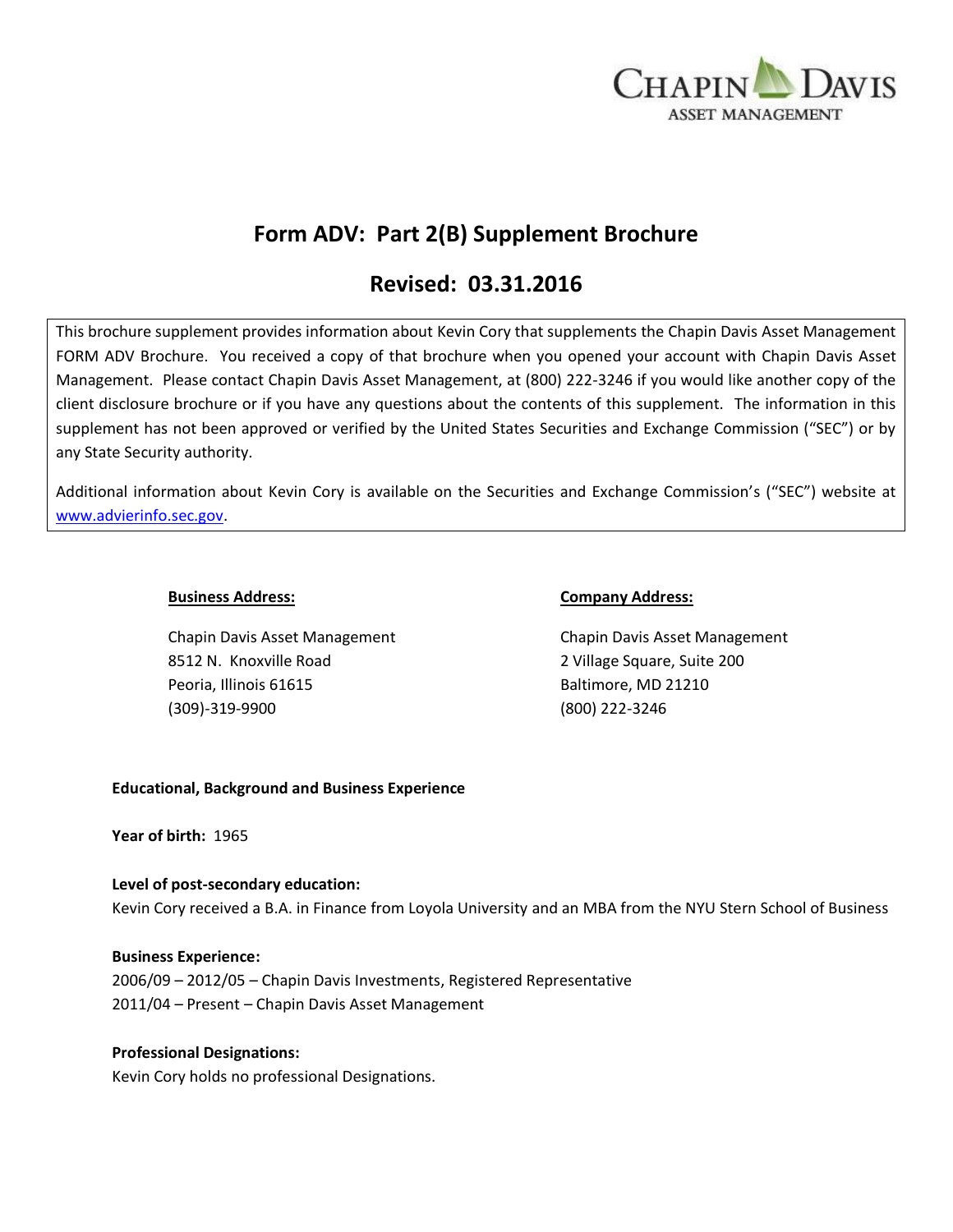

# **Form ADV: Part 2(B) Supplement Brochure**

# **Revised: 03.31.2016**

This brochure supplement provides information about Kevin Cory that supplements the Chapin Davis Asset Management FORM ADV Brochure. You received a copy of that brochure when you opened your account with Chapin Davis Asset Management. Please contact Chapin Davis Asset Management, at (800) 222-3246 if you would like another copy of the client disclosure brochure or if you have any questions about the contents of this supplement. The information in this supplement has not been approved or verified by the United States Securities and Exchange Commission ("SEC") or by any State Security authority.

Additional information about Kevin Cory is available on the Securities and Exchange Commission's ("SEC") website at [www.advierinfo.sec.gov.](http://www.advierinfo.sec.gov/)

Chapin Davis Asset Management Chapin Davis Asset Management 8512 N. Knoxville Road 2 Village Square, Suite 200 Peoria, Illinois 61615 Baltimore, MD 21210 (309)-319-9900 (800) 222-3246

#### **Business Address: Company Address:**

### **Educational, Background and Business Experience**

**Year of birth:** 1965

### **Level of post-secondary education:**

Kevin Cory received a B.A. in Finance from Loyola University and an MBA from the NYU Stern School of Business

### **Business Experience:**

2006/09 – 2012/05 – Chapin Davis Investments, Registered Representative 2011/04 – Present – Chapin Davis Asset Management

### **Professional Designations:**

Kevin Cory holds no professional Designations.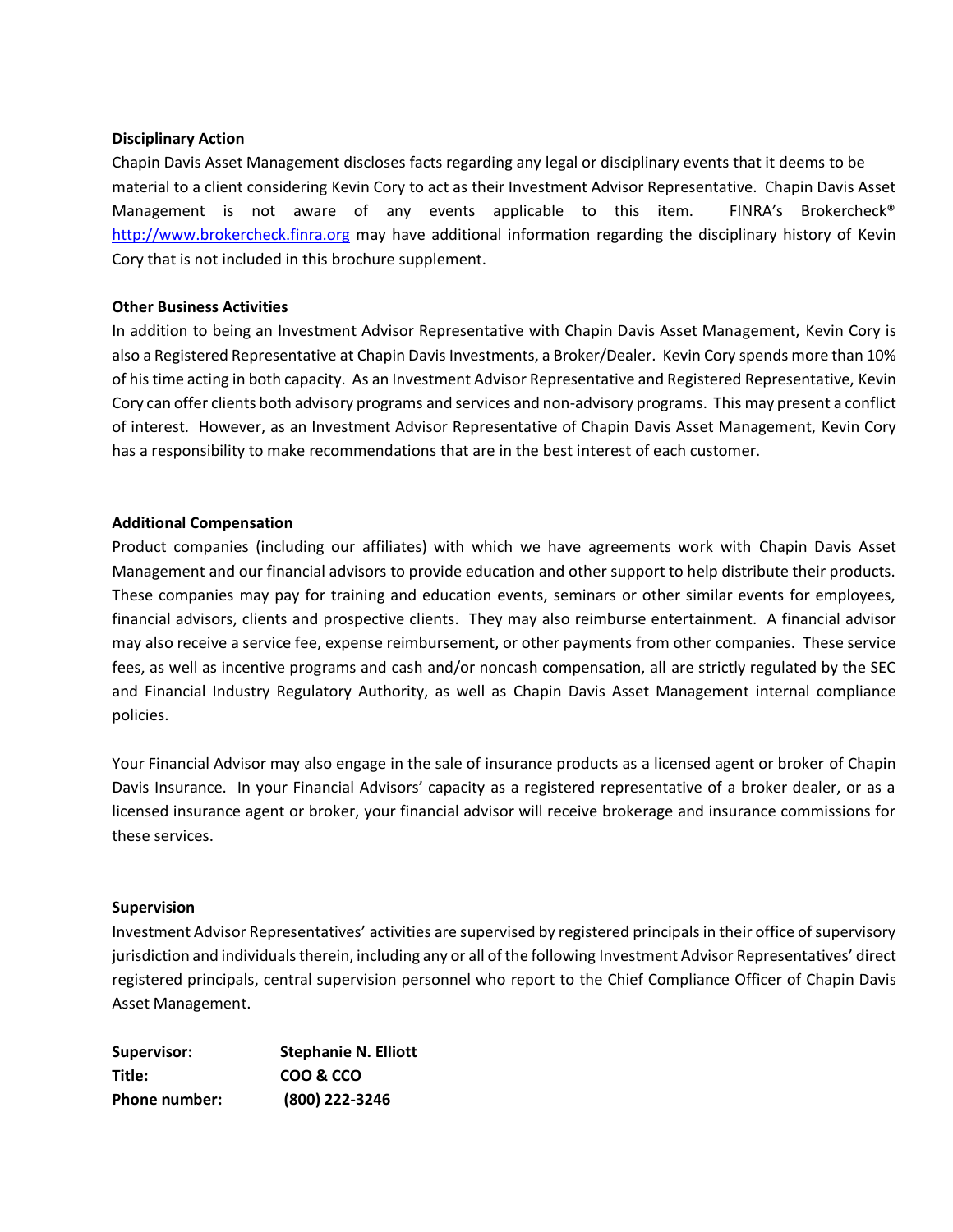#### **Disciplinary Action**

Chapin Davis Asset Management discloses facts regarding any legal or disciplinary events that it deems to be material to a client considering Kevin Cory to act as their Investment Advisor Representative. Chapin Davis Asset Management is not aware of any events applicable to this item. FINRA's Brokercheck<sup>®</sup> [http://www.brokercheck.finra.org](http://www.brokercheck.finra.org/) may have additional information regarding the disciplinary history of Kevin Cory that is not included in this brochure supplement.

#### **Other Business Activities**

In addition to being an Investment Advisor Representative with Chapin Davis Asset Management, Kevin Cory is also a Registered Representative at Chapin Davis Investments, a Broker/Dealer. Kevin Cory spends more than 10% of his time acting in both capacity. As an Investment Advisor Representative and Registered Representative, Kevin Cory can offer clients both advisory programs and services and non-advisory programs. This may present a conflict of interest. However, as an Investment Advisor Representative of Chapin Davis Asset Management, Kevin Cory has a responsibility to make recommendations that are in the best interest of each customer.

#### **Additional Compensation**

Product companies (including our affiliates) with which we have agreements work with Chapin Davis Asset Management and our financial advisors to provide education and other support to help distribute their products. These companies may pay for training and education events, seminars or other similar events for employees, financial advisors, clients and prospective clients. They may also reimburse entertainment. A financial advisor may also receive a service fee, expense reimbursement, or other payments from other companies. These service fees, as well as incentive programs and cash and/or noncash compensation, all are strictly regulated by the SEC and Financial Industry Regulatory Authority, as well as Chapin Davis Asset Management internal compliance policies.

Your Financial Advisor may also engage in the sale of insurance products as a licensed agent or broker of Chapin Davis Insurance. In your Financial Advisors' capacity as a registered representative of a broker dealer, or as a licensed insurance agent or broker, your financial advisor will receive brokerage and insurance commissions for these services.

#### **Supervision**

Investment Advisor Representatives' activities are supervised by registered principals in their office of supervisory jurisdiction and individuals therein, including any or all of the following Investment Advisor Representatives' direct registered principals, central supervision personnel who report to the Chief Compliance Officer of Chapin Davis Asset Management.

| Supervisor:   | <b>Stephanie N. Elliott</b> |
|---------------|-----------------------------|
| Title:        | COO & CCO                   |
| Phone number: | (800) 222-3246              |